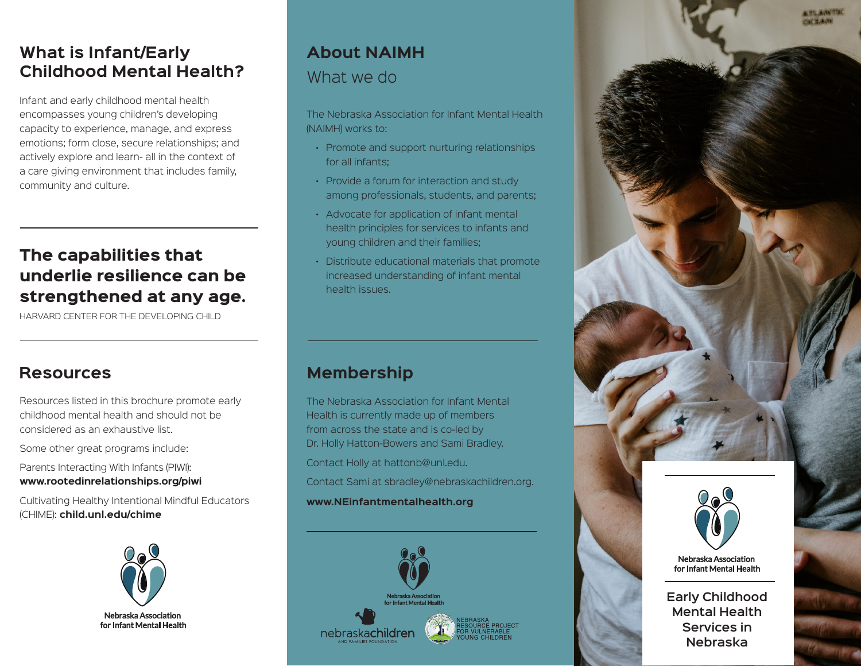# **What is Infant/Early Childhood Mental Health?**

Infant and early childhood mental health encompasses young children's developing capacity to experience, manage, and express emotions; form close, secure relationships; and actively explore and learn- all in the context of a care giving environment that includes family, community and culture.

# The capabilities that underlie resilience can be strengthened at any age.

HARVARD CENTER FOR THE DEVELOPING CHILD

## **Resources Membership**

Resources listed in this brochure promote early childhood mental health and should not be considered as an exhaustive list.

Some other great programs include:

Parents Interacting With Infants (PIWI): **www.rootedinrelationships.org/piwi**

Cultivating Healthy Intentional Mindful Educators (CHIME): **child.unl.edu/chime**



# **About NAIMH** What we do

The Nebraska Association for Infant Mental Health (NAIMH) works to:

- Promote and support nurturing relationships for all infants;
- Provide a forum for interaction and study among professionals, students, and parents;
- Advocate for application of infant mental health principles for services to infants and young children and their families;
- Distribute educational materials that promote increased understanding of infant mental health issues.



The Nebraska Association for Infant Mental Health is currently made up of members from across the state and is co-led by Dr. Holly Hatton-Bowers and Sami Bradley.

Contact Holly at hattonb@unl.edu.

Contact Sami at sbradley@nebraskachildren.org.

#### **www.NEinfantmentalhealth.org**





**Early Childhood Mental Health Services in Nebraska**